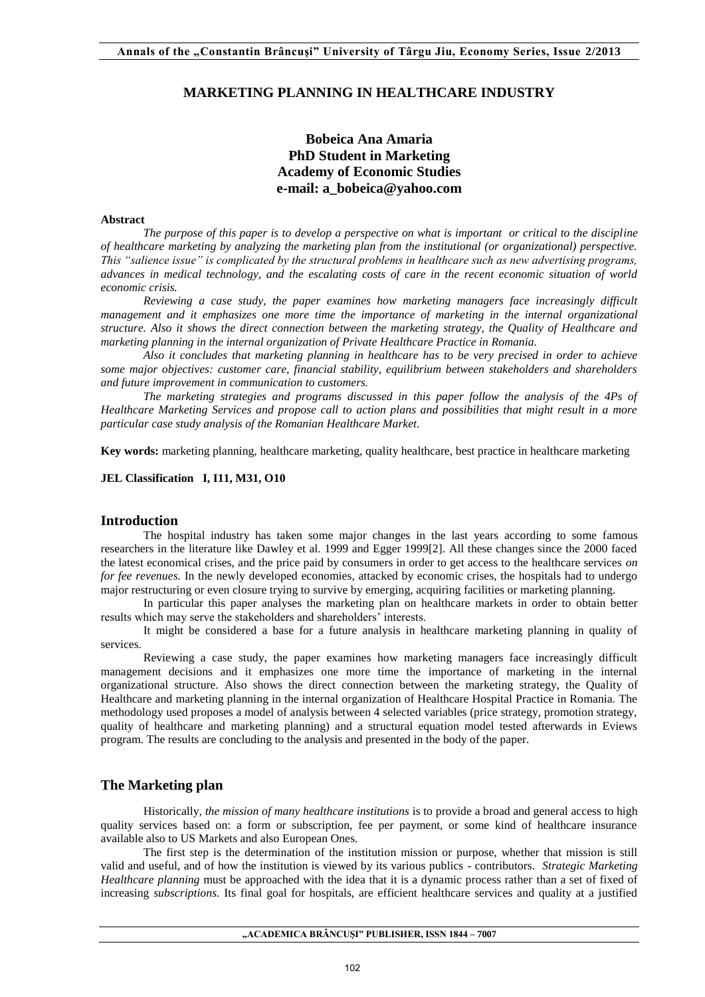## **MARKETING PLANNING IN HEALTHCARE INDUSTRY**

# **Bobeica Ana Amaria PhD Student in Marketing Academy of Economic Studies e-mail: a\_bobeica@yahoo.com**

#### **Abstract**

*The purpose of this paper is to develop a perspective on what is important or critical to the discipline of healthcare marketing by analyzing the marketing plan from the institutional (or organizational) perspective. This "salience issue" is complicated by the structural problems in healthcare such as new advertising programs, advances in medical technology, and the escalating costs of care in the recent economic situation of world economic crisis.* 

*Reviewing a case study, the paper examines how marketing managers face increasingly difficult management and it emphasizes one more time the importance of marketing in the internal organizational structure. Also it shows the direct connection between the marketing strategy, the Quality of Healthcare and marketing planning in the internal organization of Private Healthcare Practice in Romania.* 

*Also it concludes that marketing planning in healthcare has to be very precised in order to achieve some major objectives: customer care, financial stability, equilibrium between stakeholders and shareholders and future improvement in communication to customers.* 

*The marketing strategies and programs discussed in this paper follow the analysis of the 4Ps of Healthcare Marketing Services and propose call to action plans and possibilities that might result in a more particular case study analysis of the Romanian Healthcare Market.* 

**Key words:** marketing planning, healthcare marketing, quality healthcare, best practice in healthcare marketing

**JEL Classification I, I11, M31, O10** 

#### **Introduction**

The hospital industry has taken some major changes in the last years according to some famous researchers in the literature like Dawley et al. 1999 and Egger 1999[2]. All these changes since the 2000 faced the latest economical crises, and the price paid by consumers in order to get access to the healthcare services *on for fee revenues*. In the newly developed economies, attacked by economic crises, the hospitals had to undergo major restructuring or even closure trying to survive by emerging, acquiring facilities or marketing planning.

In particular this paper analyses the marketing plan on healthcare markets in order to obtain better results which may serve the stakeholders and shareholders' interests.

It might be considered a base for a future analysis in healthcare marketing planning in quality of services.

Reviewing a case study, the paper examines how marketing managers face increasingly difficult management decisions and it emphasizes one more time the importance of marketing in the internal organizational structure. Also shows the direct connection between the marketing strategy, the Quality of Healthcare and marketing planning in the internal organization of Healthcare Hospital Practice in Romania. The methodology used proposes a model of analysis between 4 selected variables (price strategy, promotion strategy, quality of healthcare and marketing planning) and a structural equation model tested afterwards in Eviews program. The results are concluding to the analysis and presented in the body of the paper.

## **The Marketing plan**

Historically, *the mission of many healthcare institutions* is to provide a broad and general access to high quality services based on: a form or subscription, fee per payment, or some kind of healthcare insurance available also to US Markets and also European Ones.

The first step is the determination of the institution mission or purpose, whether that mission is still valid and useful, and of how the institution is viewed by its various publics - contributors. *Strategic Marketing Healthcare planning* must be approached with the idea that it is a dynamic process rather than a set of fixed of increasing *subscriptions.* Its final goal for hospitals, are efficient healthcare services and quality at a justified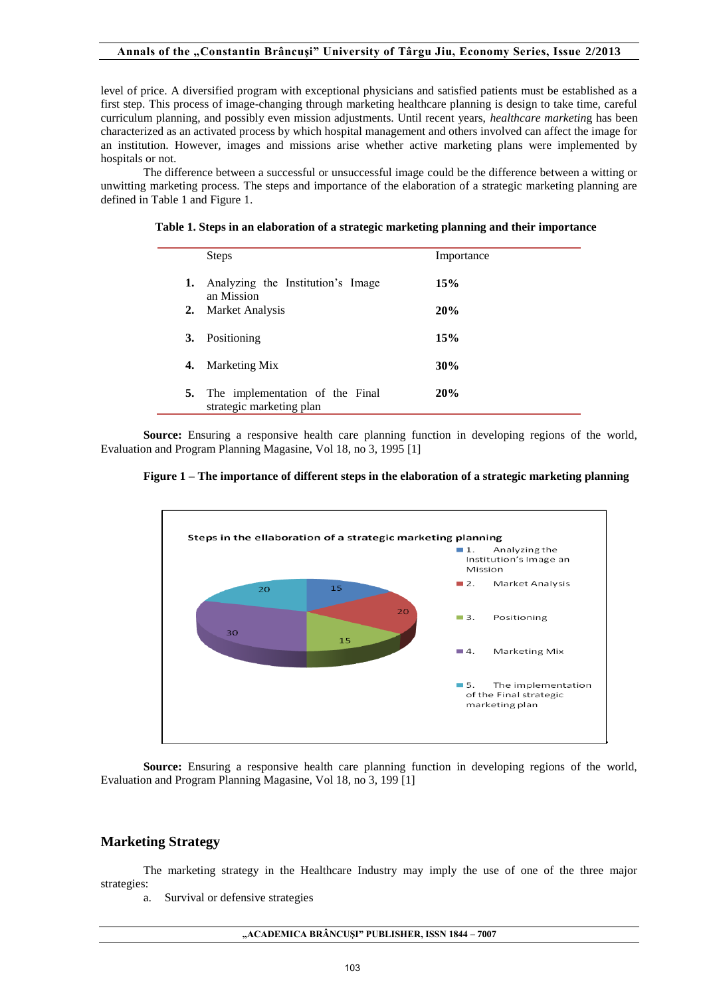level of price. A diversified program with exceptional physicians and satisfied patients must be established as a first step. This process of image-changing through marketing healthcare planning is design to take time, careful curriculum planning, and possibly even mission adjustments. Until recent years, *healthcare marketin*g has been characterized as an activated process by which hospital management and others involved can affect the image for an institution. However, images and missions arise whether active marketing plans were implemented by hospitals or not.

The difference between a successful or unsuccessful image could be the difference between a witting or unwitting marketing process. The steps and importance of the elaboration of a strategic marketing planning are defined in Table 1 and Figure 1.

| Table 1. Steps in an elaboration of a strategic marketing planning and their importance |  |  |
|-----------------------------------------------------------------------------------------|--|--|
|                                                                                         |  |  |

|    | <b>Steps</b>                                                | Importance |
|----|-------------------------------------------------------------|------------|
| 1. | Analyzing the Institution's Image<br>an Mission             | 15%        |
| 2. | Market Analysis                                             | 20%        |
| 3. | Positioning                                                 | 15%        |
| 4. | Marketing Mix                                               | 30%        |
| 5. | The implementation of the Final<br>strategic marketing plan | 20%        |

**Source:** Ensuring a responsive health care planning function in developing regions of the world, Evaluation and Program Planning Magasine, Vol 18, no 3, 1995 [1]





**Source:** Ensuring a responsive health care planning function in developing regions of the world, Evaluation and Program Planning Magasine, Vol 18, no 3, 199 [1]

## **Marketing Strategy**

The marketing strategy in the Healthcare Industry may imply the use of one of the three major strategies:

a. Survival or defensive strategies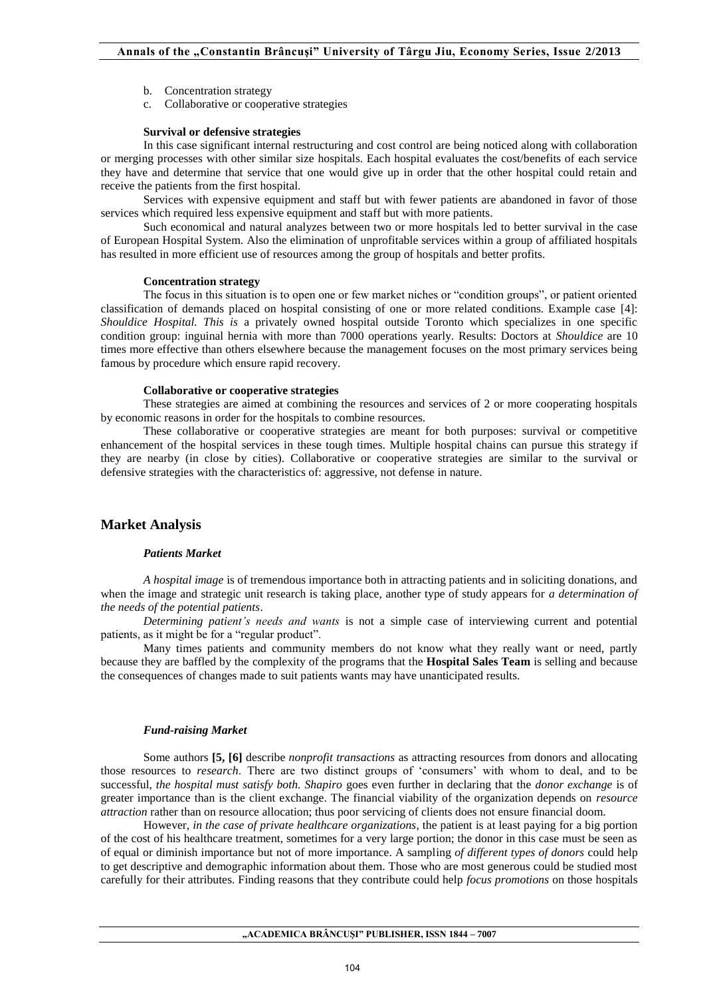- b. Concentration strategy
- c. Collaborative or cooperative strategies

#### **Survival or defensive strategies**

In this case significant internal restructuring and cost control are being noticed along with collaboration or merging processes with other similar size hospitals. Each hospital evaluates the cost/benefits of each service they have and determine that service that one would give up in order that the other hospital could retain and receive the patients from the first hospital.

Services with expensive equipment and staff but with fewer patients are abandoned in favor of those services which required less expensive equipment and staff but with more patients.

Such economical and natural analyzes between two or more hospitals led to better survival in the case of European Hospital System. Also the elimination of unprofitable services within a group of affiliated hospitals has resulted in more efficient use of resources among the group of hospitals and better profits.

#### **Concentration strategy**

The focus in this situation is to open one or few market niches or "condition groups", or patient oriented classification of demands placed on hospital consisting of one or more related conditions. Example case [4]: *Shouldice Hospital. This is* a privately owned hospital outside Toronto which specializes in one specific condition group: inguinal hernia with more than 7000 operations yearly. Results: Doctors at *Shouldice* are 10 times more effective than others elsewhere because the management focuses on the most primary services being famous by procedure which ensure rapid recovery.

### **Collaborative or cooperative strategies**

These strategies are aimed at combining the resources and services of 2 or more cooperating hospitals by economic reasons in order for the hospitals to combine resources.

These collaborative or cooperative strategies are meant for both purposes: survival or competitive enhancement of the hospital services in these tough times. Multiple hospital chains can pursue this strategy if they are nearby (in close by cities). Collaborative or cooperative strategies are similar to the survival or defensive strategies with the characteristics of: aggressive, not defense in nature.

## **Market Analysis**

### *Patients Market*

*A hospital image* is of tremendous importance both in attracting patients and in soliciting donations, and when the image and strategic unit research is taking place, another type of study appears for *a determination of the needs of the potential patients*.

*Determining patient's needs and wants* is not a simple case of interviewing current and potential patients, as it might be for a "regular product".

Many times patients and community members do not know what they really want or need, partly because they are baffled by the complexity of the programs that the **Hospital Sales Team** is selling and because the consequences of changes made to suit patients wants may have unanticipated results.

### *Fund-raising Market*

Some authors **[5, [6]** describe *nonprofit transactions* as attracting resources from donors and allocating those resources to *research*. There are two distinct groups of 'consumers' with whom to deal, and to be successful, *the hospital must satisfy both. Shapiro* goes even further in declaring that the *donor exchange* is of greater importance than is the client exchange. The financial viability of the organization depends on *resource attraction* rather than on resource allocation; thus poor servicing of clients does not ensure financial doom.

However, *in the case of private healthcare organizations*, the patient is at least paying for a big portion of the cost of his healthcare treatment, sometimes for a very large portion; the donor in this case must be seen as of equal or diminish importance but not of more importance. A sampling *of different types of donors* could help to get descriptive and demographic information about them. Those who are most generous could be studied most carefully for their attributes. Finding reasons that they contribute could help *focus promotions* on those hospitals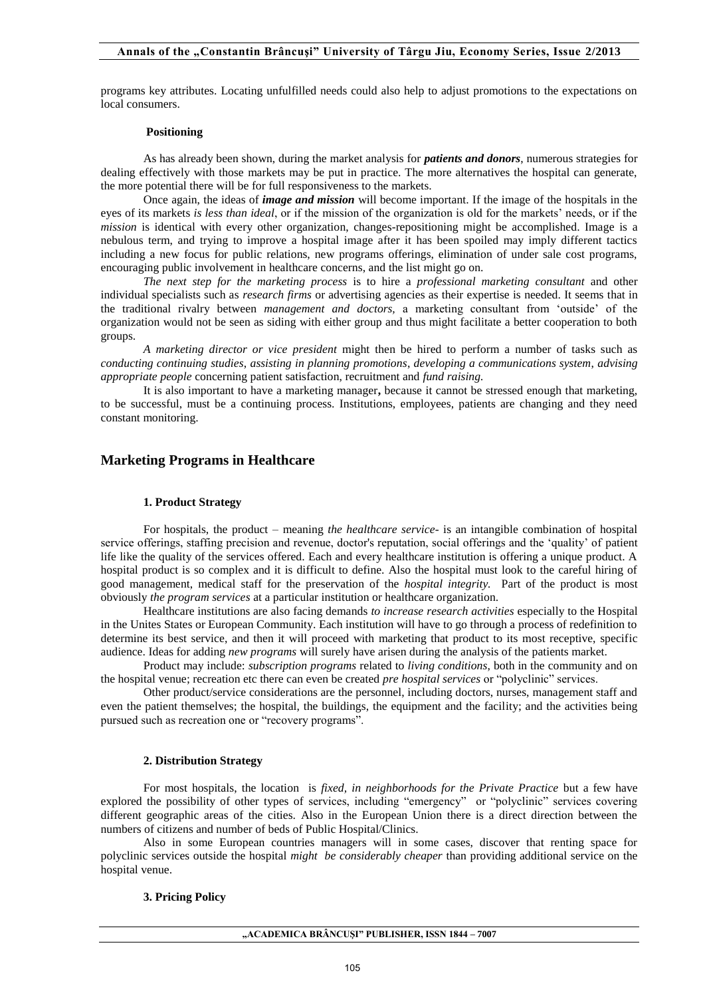programs key attributes. Locating unfulfilled needs could also help to adjust promotions to the expectations on local consumers.

### **Positioning**

As has already been shown, during the market analysis for *patients and donors*, numerous strategies for dealing effectively with those markets may be put in practice. The more alternatives the hospital can generate, the more potential there will be for full responsiveness to the markets.

Once again, the ideas of *image and mission* will become important. If the image of the hospitals in the eyes of its markets *is less than ideal*, or if the mission of the organization is old for the markets' needs, or if the *mission* is identical with every other organization, changes-repositioning might be accomplished. Image is a nebulous term, and trying to improve a hospital image after it has been spoiled may imply different tactics including a new focus for public relations, new programs offerings, elimination of under sale cost programs, encouraging public involvement in healthcare concerns, and the list might go on.

*The next step for the marketing process* is to hire a *professional marketing consultant* and other individual specialists such as *research firms* or advertising agencies as their expertise is needed. It seems that in the traditional rivalry between *management and doctors,* a marketing consultant from 'outside' of the organization would not be seen as siding with either group and thus might facilitate a better cooperation to both groups.

*A marketing director or vice president* might then be hired to perform a number of tasks such as *conducting continuing studies*, *assisting in planning promotions*, *developing a communications system*, *advising appropriate people* concerning patient satisfaction, recruitment and *fund raising.*

It is also important to have a marketing manager**,** because it cannot be stressed enough that marketing, to be successful, must be a continuing process. Institutions, employees, patients are changing and they need constant monitoring.

## **Marketing Programs in Healthcare**

### **1. Product Strategy**

For hospitals, the product – meaning *the healthcare service*- is an intangible combination of hospital service offerings, staffing precision and revenue, doctor's reputation, social offerings and the 'quality' of patient life like the quality of the services offered. Each and every healthcare institution is offering a unique product. A hospital product is so complex and it is difficult to define. Also the hospital must look to the careful hiring of good management, medical staff for the preservation of the *hospital integrity.* Part of the product is most obviously *the program services* at a particular institution or healthcare organization.

Healthcare institutions are also facing demands *to increase research activities* especially to the Hospital in the Unites States or European Community. Each institution will have to go through a process of redefinition to determine its best service, and then it will proceed with marketing that product to its most receptive, specific audience. Ideas for adding *new programs* will surely have arisen during the analysis of the patients market.

Product may include: *subscription programs* related to *living conditions*, both in the community and on the hospital venue; recreation etc there can even be created *pre hospital services* or "polyclinic" services.

Other product/service considerations are the personnel, including doctors, nurses, management staff and even the patient themselves; the hospital, the buildings, the equipment and the facility; and the activities being pursued such as recreation one or "recovery programs".

### **2. Distribution Strategy**

For most hospitals, the location is *fixed, in neighborhoods for the Private Practice* but a few have explored the possibility of other types of services, including "emergency" or "polyclinic" services covering different geographic areas of the cities. Also in the European Union there is a direct direction between the numbers of citizens and number of beds of Public Hospital/Clinics.

Also in some European countries managers will in some cases, discover that renting space for polyclinic services outside the hospital *might be considerably cheaper* than providing additional service on the hospital venue.

### **3. Pricing Policy**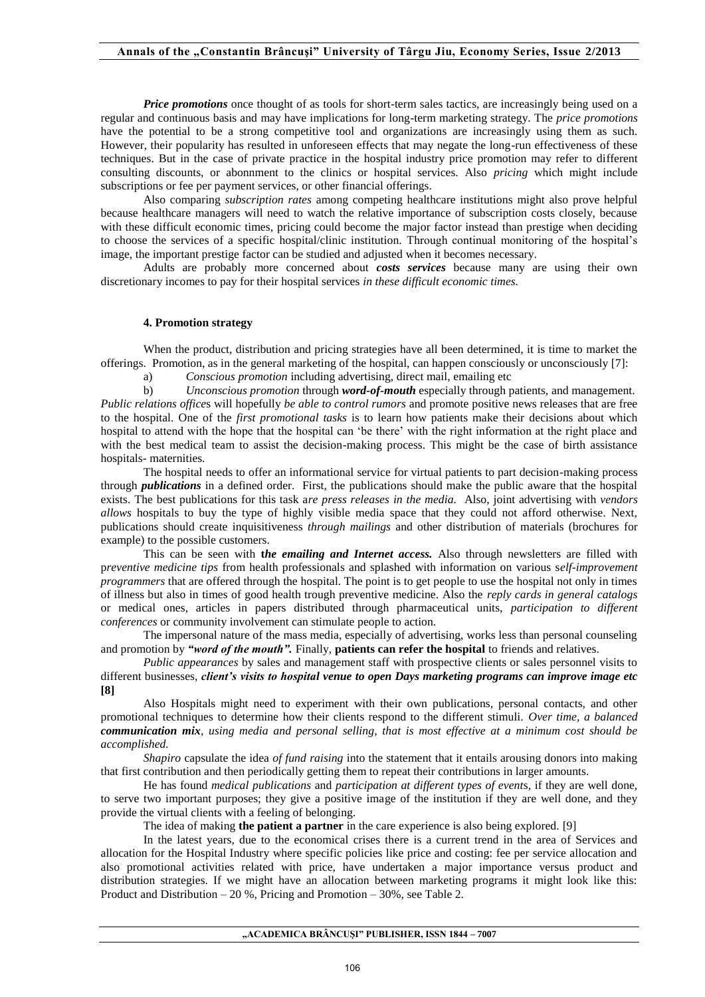*Price promotions* once thought of as tools for short-term sales tactics, are increasingly being used on a regular and continuous basis and may have implications for long-term marketing strategy. The *price promotions* have the potential to be a strong competitive tool and organizations are increasingly using them as such. However, their popularity has resulted in unforeseen effects that may negate the long-run effectiveness of these techniques. But in the case of private practice in the hospital industry price promotion may refer to different consulting discounts, or abonnment to the clinics or hospital services. Also *pricing* which might include subscriptions or fee per payment services, or other financial offerings.

Also comparing *subscription rates* among competing healthcare institutions might also prove helpful because healthcare managers will need to watch the relative importance of subscription costs closely, because with these difficult economic times, pricing could become the major factor instead than prestige when deciding to choose the services of a specific hospital/clinic institution. Through continual monitoring of the hospital's image, the important prestige factor can be studied and adjusted when it becomes necessary.

Adults are probably more concerned about *costs services* because many are using their own discretionary incomes to pay for their hospital services *in these difficult economic times.* 

### **4. Promotion strategy**

When the product, distribution and pricing strategies have all been determined, it is time to market the offerings. Promotion, as in the general marketing of the hospital, can happen consciously or unconsciously [7]:

a) *Conscious promotion* including advertising, direct mail, emailing etc

b) *Unconscious promotion* through *word-of-mouth* especially through patients, and management. *Public relations office*s will hopefully *be able to control rumors* and promote positive news releases that are free to the hospital. One of the *first promotional tasks* is to learn how patients make their decisions about which hospital to attend with the hope that the hospital can 'be there' with the right information at the right place and with the best medical team to assist the decision-making process. This might be the case of birth assistance hospitals- maternities.

The hospital needs to offer an informational service for virtual patients to part decision-making process through *publications* in a defined order. First, the publications should make the public aware that the hospital exists. The best publications for this task a*re press releases in the media.* Also, joint advertising with *vendors allows* hospitals to buy the type of highly visible media space that they could not afford otherwise. Next, publications should create inquisitiveness *through mailings* and other distribution of materials (brochures for example) to the possible customers.

This can be seen with **t***he emailing and Internet access.* Also through newsletters are filled with p*reventive medicine tips* from health professionals and splashed with information on various s*elf-improvement programmers* that are offered through the hospital. The point is to get people to use the hospital not only in times of illness but also in times of good health trough preventive medicine. Also the *reply cards in general catalogs*  or medical ones, articles in papers distributed through pharmaceutical units, *participation to different conferences* or community involvement can stimulate people to action.

The impersonal nature of the mass media, especially of advertising, works less than personal counseling and promotion by *"word of the mouth".* Finally, **patients can refer the hospital** to friends and relatives.

*Public appearances* by sales and management staff with prospective clients or sales personnel visits to different businesses, *client's visits to hospital venue to open Days marketing programs can improve image etc*  **[8]**

Also Hospitals might need to experiment with their own publications, personal contacts, and other promotional techniques to determine how their clients respond to the different stimuli. *Over time, a balanced communication mix, using media and personal selling, that is most effective at a minimum cost should be accomplished.* 

*Shapiro* capsulate the idea *of fund raising* into the statement that it entails arousing donors into making that first contribution and then periodically getting them to repeat their contributions in larger amounts.

He has found *medical publications* and *participation at different types of event*s, if they are well done, to serve two important purposes; they give a positive image of the institution if they are well done, and they provide the virtual clients with a feeling of belonging.

The idea of making **the patient a partner** in the care experience is also being explored. [9]

In the latest years, due to the economical crises there is a current trend in the area of Services and allocation for the Hospital Industry where specific policies like price and costing: fee per service allocation and also promotional activities related with price, have undertaken a major importance versus product and distribution strategies. If we might have an allocation between marketing programs it might look like this: Product and Distribution – 20 %, Pricing and Promotion – 30%, see Table 2.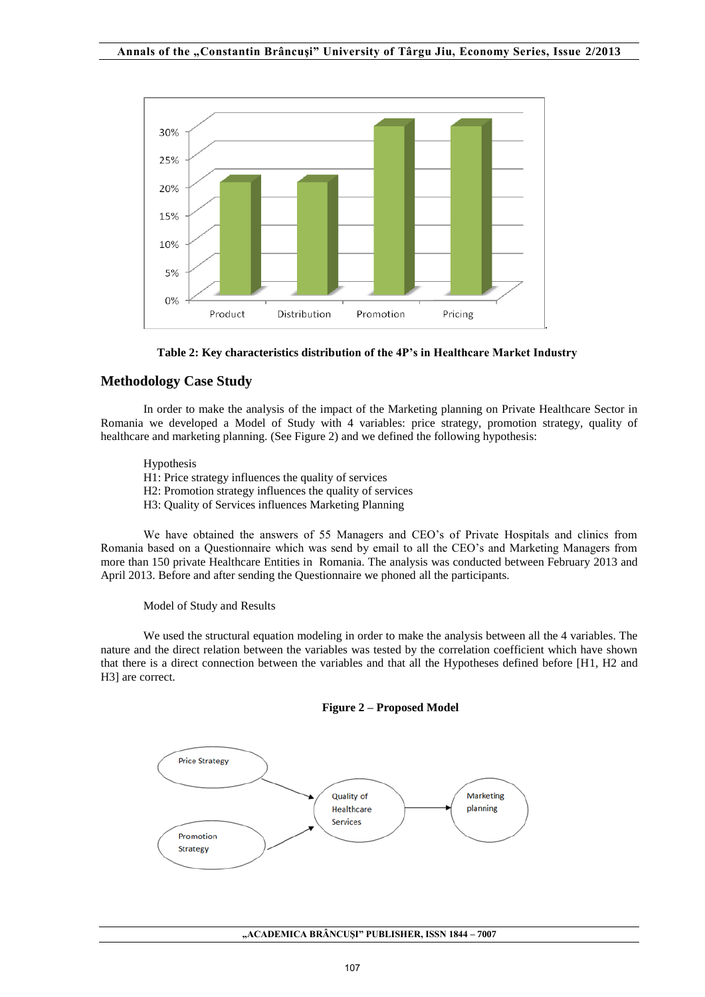



# **Methodology Case Study**

In order to make the analysis of the impact of the Marketing planning on Private Healthcare Sector in Romania we developed a Model of Study with 4 variables: price strategy, promotion strategy, quality of healthcare and marketing planning. (See Figure 2) and we defined the following hypothesis:

Hypothesis H1: Price strategy influences the quality of services H2: Promotion strategy influences the quality of services H3: Quality of Services influences Marketing Planning

We have obtained the answers of 55 Managers and CEO's of Private Hospitals and clinics from Romania based on a Questionnaire which was send by email to all the CEO's and Marketing Managers from more than 150 private Healthcare Entities in Romania. The analysis was conducted between February 2013 and April 2013. Before and after sending the Questionnaire we phoned all the participants.

Model of Study and Results

We used the structural equation modeling in order to make the analysis between all the 4 variables. The nature and the direct relation between the variables was tested by the correlation coefficient which have shown that there is a direct connection between the variables and that all the Hypotheses defined before [H1, H2 and H3] are correct.